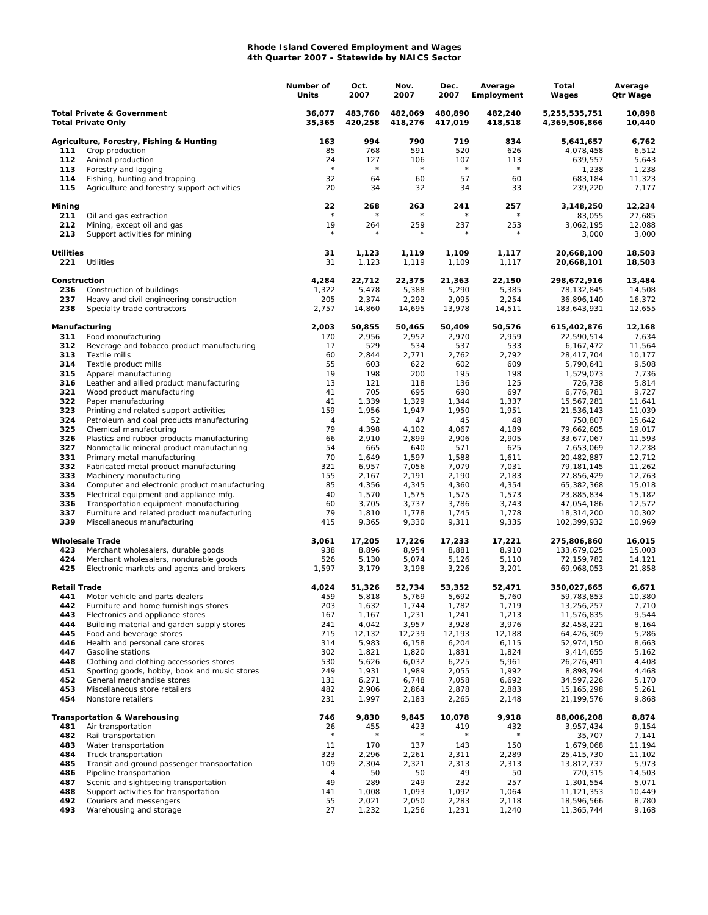## **Rhode Island Covered Employment and Wages 4th Quarter 2007 - Statewide by NAICS Sector**

|                                                                    |                                                                                         | Number of<br>Units | Oct.<br>2007       | Nov.<br>2007       | Dec.<br>2007       | Average<br>Employment | Total<br>Wages                 | Average<br>Qtr Wage |
|--------------------------------------------------------------------|-----------------------------------------------------------------------------------------|--------------------|--------------------|--------------------|--------------------|-----------------------|--------------------------------|---------------------|
| <b>Total Private &amp; Government</b><br><b>Total Private Only</b> |                                                                                         | 36,077<br>35,365   | 483,760<br>420,258 | 482,069<br>418,276 | 480,890<br>417,019 | 482,240<br>418,518    | 5,255,535,751<br>4,369,506,866 | 10,898<br>10,440    |
|                                                                    | Agriculture, Forestry, Fishing & Hunting                                                | 163                | 994                | 790                | 719                | 834                   | 5,641,657                      | 6,762               |
| 111                                                                | Crop production                                                                         | 85                 | 768                | 591                | 520                | 626                   | 4,078,458                      | 6,512               |
| 112                                                                | Animal production                                                                       | 24                 | 127                | 106                | 107                | 113                   | 639,557                        | 5,643               |
| 113                                                                | Forestry and logging                                                                    | $\star$            | $\star$            | $\star$            | $\star$            | $\star$               | 1,238                          | 1,238               |
| 114                                                                | Fishing, hunting and trapping                                                           | 32                 | 64                 | 60                 | 57                 | 60                    | 683,184                        | 11,323              |
| 115                                                                | Agriculture and forestry support activities                                             | 20                 | 34                 | 32                 | 34                 | 33                    | 239,220                        | 7,177               |
| Mining<br>211                                                      | Oil and gas extraction                                                                  | 22                 | 268                | 263                | 241                | 257<br>$\star$        | 3,148,250<br>83,055            | 12,234<br>27,685    |
| 212                                                                | Mining, except oil and gas                                                              | 19                 | 264                | 259                | 237                | 253                   | 3,062,195                      | 12,088              |
| 213                                                                | Support activities for mining                                                           |                    |                    |                    |                    |                       | 3,000                          | 3,000               |
| <b>Utilities</b><br>221                                            | Utilities                                                                               | 31<br>31           | 1,123<br>1,123     | 1,119<br>1,119     | 1,109<br>1,109     | 1,117<br>1,117        | 20,668,100<br>20,668,101       | 18,503<br>18,503    |
| Construction                                                       |                                                                                         | 4,284              | 22,712             | 22,375             | 21,363             | 22,150                | 298,672,916                    | 13,484              |
| 236                                                                | Construction of buildings                                                               | 1,322              | 5,478              | 5,388              | 5,290              | 5,385                 | 78,132,845                     | 14,508              |
| 237                                                                | Heavy and civil engineering construction                                                | 205                | 2,374              | 2,292              | 2,095              | 2,254                 | 36,896,140                     | 16,372              |
| 238                                                                | Specialty trade contractors                                                             | 2,757              | 14,860             | 14,695             | 13,978             | 14,511                | 183,643,931                    | 12,655              |
| Manufacturing                                                      |                                                                                         | 2,003              | 50,855             | 50,465<br>2,952    | 50,409             | 50,576                | 615,402,876                    | 12,168              |
| 311<br>312                                                         | Food manufacturing<br>Beverage and tobacco product manufacturing                        | 170<br>17          | 2,956<br>529       | 534                | 2,970<br>537       | 2,959<br>533          | 22,590,514<br>6,167,472        | 7,634<br>11,564     |
| 313                                                                | Textile mills                                                                           | 60                 | 2,844              | 2,771              | 2,762              | 2,792                 | 28,417,704                     | 10,177              |
| 314                                                                | Textile product mills                                                                   | 55                 | 603                | 622                | 602                | 609                   | 5,790,641                      | 9,508               |
| 315                                                                | Apparel manufacturing                                                                   | 19                 | 198                | 200                | 195                | 198                   | 1,529,073                      | 7,736               |
| 316                                                                | Leather and allied product manufacturing                                                | 13                 | 121                | 118                | 136                | 125                   | 726,738                        | 5,814               |
| 321                                                                | Wood product manufacturing                                                              | 41                 | 705                | 695                | 690                | 697                   | 6,776,781                      | 9,727               |
| 322                                                                | Paper manufacturing                                                                     | 41                 | 1,339              | 1,329              | 1,344              | 1,337                 | 15,567,281                     | 11,641              |
| 323                                                                | Printing and related support activities                                                 | 159                | 1,956              | 1,947              | 1,950              | 1,951                 | 21,536,143                     | 11,039              |
| 324                                                                | Petroleum and coal products manufacturing                                               | 4                  | 52                 | 47                 | 45                 | 48                    | 750,807                        | 15,642              |
| 325<br>326                                                         | Chemical manufacturing                                                                  | 79                 | 4,398              | 4,102              | 4,067              | 4,189                 | 79,662,605                     | 19,017              |
| 327                                                                | Plastics and rubber products manufacturing<br>Nonmetallic mineral product manufacturing | 66<br>54           | 2,910<br>665       | 2,899<br>640       | 2,906<br>571       | 2,905<br>625          | 33,677,067<br>7,653,069        | 11,593<br>12,238    |
| 331                                                                | Primary metal manufacturing                                                             | 70                 | 1,649              | 1,597              | 1,588              | 1,611                 | 20,482,887                     | 12,712              |
| 332                                                                | Fabricated metal product manufacturing                                                  | 321                | 6,957              | 7,056              | 7,079              | 7,031                 | 79,181,145                     | 11,262              |
| 333                                                                | Machinery manufacturing                                                                 | 155                | 2,167              | 2,191              | 2,190              | 2,183                 | 27,856,429                     | 12,763              |
| 334                                                                | Computer and electronic product manufacturing                                           | 85                 | 4,356              | 4,345              | 4,360              | 4,354                 | 65,382,368                     | 15,018              |
| 335                                                                | Electrical equipment and appliance mfg.                                                 | 40                 | 1,570              | 1,575              | 1,575              | 1,573                 | 23,885,834                     | 15,182              |
| 336                                                                | Transportation equipment manufacturing                                                  | 60                 | 3,705              | 3,737              | 3,786              | 3,743                 | 47,054,186                     | 12,572              |
| 337<br>339                                                         | Furniture and related product manufacturing<br>Miscellaneous manufacturing              | 79<br>415          | 1,810<br>9,365     | 1,778<br>9,330     | 1,745<br>9,311     | 1,778<br>9,335        | 18,314,200<br>102,399,932      | 10,302<br>10,969    |
|                                                                    | <b>Wholesale Trade</b>                                                                  | 3,061              | 17,205             | 17,226             | 17,233             | 17,221                | 275,806,860                    | 16,015              |
| 423                                                                | Merchant wholesalers, durable goods                                                     | 938                | 8,896              | 8,954              | 8,881              | 8,910                 | 133,679,025                    | 15,003              |
| 424                                                                | Merchant wholesalers, nondurable goods                                                  | 526                | 5,130              | 5,074              | 5,126              | 5,110                 | 72,159,782                     | 14,121              |
| 425                                                                | Electronic markets and agents and brokers                                               | 1,597              | 3,179              | 3,198              | 3,226              | 3,201                 | 69,968,053                     | 21,858              |
| <b>Retail Trade</b>                                                |                                                                                         | 4,024              | 51,326             | 52,734             | 53,352             | 52,471                | 350,027,665                    | 6,671               |
| 441                                                                | Motor vehicle and parts dealers                                                         | 459                | 5,818              | 5,769              | 5,692              | 5,760                 | 59,783,853                     | 10,380              |
| 442                                                                | Furniture and home furnishings stores                                                   | 203                | 1,632              | 1,744              | 1,782              | 1,719                 | 13,256,257                     | 7,710               |
| 443<br>444                                                         | Electronics and appliance stores                                                        | 167                | 1,167<br>4,042     | 1,231<br>3,957     | 1,241              | 1,213<br>3,976        | 11,576,835                     | 9,544               |
| 445                                                                | Building material and garden supply stores<br>Food and beverage stores                  | 241<br>715         | 12,132             | 12,239             | 3,928<br>12,193    | 12,188                | 32,458,221<br>64,426,309       | 8,164<br>5,286      |
| 446                                                                | Health and personal care stores                                                         | 314                | 5,983              | 6,158              | 6,204              | 6,115                 | 52,974,150                     | 8,663               |
| 447                                                                | Gasoline stations                                                                       | 302                | 1,821              | 1,820              | 1,831              | 1,824                 | 9,414,655                      | 5,162               |
| 448                                                                | Clothing and clothing accessories stores                                                | 530                | 5,626              | 6,032              | 6,225              | 5,961                 | 26,276,491                     | 4,408               |
| 451                                                                | Sporting goods, hobby, book and music stores                                            | 249                | 1,931              | 1,989              | 2,055              | 1,992                 | 8,898,794                      | 4,468               |
| 452                                                                | General merchandise stores                                                              | 131                | 6,271              | 6,748              | 7,058              | 6,692                 | 34,597,226                     | 5,170               |
| 453                                                                | Miscellaneous store retailers                                                           | 482                | 2,906              | 2,864              | 2,878              | 2,883                 | 15, 165, 298                   | 5,261               |
| 454                                                                | Nonstore retailers                                                                      | 231                | 1,997              | 2,183              | 2,265              | 2,148                 | 21,199,576                     | 9,868               |
|                                                                    | <b>Transportation &amp; Warehousing</b>                                                 | 746                | 9,830              | 9,845              | 10,078             | 9,918                 | 88,006,208<br>3,957,434        | 8,874<br>9,154      |
| 481<br>482                                                         | Air transportation<br>Rail transportation                                               | 26<br>$\star$      | 455<br>$\star$     | 423<br>$^\star$    | 419<br>$^{\star}$  | 432<br>$^{\star}$     | 35,707                         | 7,141               |
| 483                                                                | Water transportation                                                                    | 11                 | 170                | 137                | 143                | 150                   | 1,679,068                      | 11,194              |
| 484                                                                | Truck transportation                                                                    | 323                | 2,296              | 2,261              | 2,311              | 2,289                 | 25,415,730                     | 11,102              |
| 485                                                                | Transit and ground passenger transportation                                             | 109                | 2,304              | 2,321              | 2,313              | 2,313                 | 13,812,737                     | 5,973               |
| 486                                                                | Pipeline transportation                                                                 | 4                  | 50                 | 50                 | 49                 | 50                    | 720,315                        | 14,503              |
| 487                                                                | Scenic and sightseeing transportation                                                   | 49                 | 289                | 249                | 232                | 257                   | 1,301,554                      | 5,071               |
| 488                                                                | Support activities for transportation                                                   | 141                | 1,008              | 1,093              | 1,092              | 1,064                 | 11,121,353                     | 10,449              |
| 492                                                                | Couriers and messengers                                                                 | 55                 | 2,021              | 2,050              | 2,283              | 2,118                 | 18,596,566                     | 8,780               |
| 493                                                                | Warehousing and storage                                                                 | 27                 | 1,232              | 1,256              | 1,231              | 1,240                 | 11,365,744                     | 9,168               |